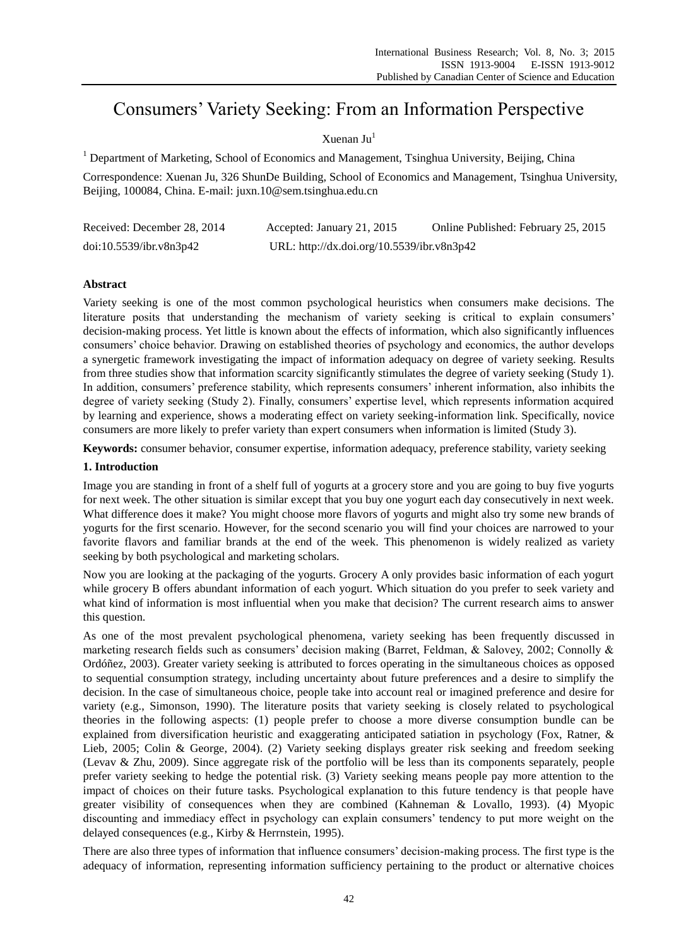# Consumers' Variety Seeking: From an Information Perspective

# Xuenan Ju 1

<sup>1</sup> Department of Marketing, School of Economics and Management, Tsinghua University, Beijing, China

Correspondence: Xuenan Ju, 326 ShunDe Building, School of Economics and Management, Tsinghua University, Beijing, 100084, China. E-mail: juxn.10@sem.tsinghua.edu.cn

| Received: December 28, 2014 | Accepted: January 21, 2015                 | Online Published: February 25, 2015 |
|-----------------------------|--------------------------------------------|-------------------------------------|
| doi:10.5539/ibr.v8n3p42     | URL: http://dx.doi.org/10.5539/ibr.v8n3p42 |                                     |

## **Abstract**

Variety seeking is one of the most common psychological heuristics when consumers make decisions. The literature posits that understanding the mechanism of variety seeking is critical to explain consumers' decision-making process. Yet little is known about the effects of information, which also significantly influences consumers' choice behavior. Drawing on established theories of psychology and economics, the author develops a synergetic framework investigating the impact of information adequacy on degree of variety seeking. Results from three studies show that information scarcity significantly stimulates the degree of variety seeking (Study 1). In addition, consumers' preference stability, which represents consumers' inherent information, also inhibits the degree of variety seeking (Study 2). Finally, consumers' expertise level, which represents information acquired by learning and experience, shows a moderating effect on variety seeking-information link. Specifically, novice consumers are more likely to prefer variety than expert consumers when information is limited (Study 3).

**Keywords:** consumer behavior, consumer expertise, information adequacy, preference stability, variety seeking

## **1. Introduction**

Image you are standing in front of a shelf full of yogurts at a grocery store and you are going to buy five yogurts for next week. The other situation is similar except that you buy one yogurt each day consecutively in next week. What difference does it make? You might choose more flavors of yogurts and might also try some new brands of yogurts for the first scenario. However, for the second scenario you will find your choices are narrowed to your favorite flavors and familiar brands at the end of the week. This phenomenon is widely realized as variety seeking by both psychological and marketing scholars.

Now you are looking at the packaging of the yogurts. Grocery A only provides basic information of each yogurt while grocery B offers abundant information of each yogurt. Which situation do you prefer to seek variety and what kind of information is most influential when you make that decision? The current research aims to answer this question.

As one of the most prevalent psychological phenomena, variety seeking has been frequently discussed in marketing research fields such as consumers' decision making (Barret, Feldman, & Salovey, 2002; Connolly & Ordóñez, 2003). Greater variety seeking is attributed to forces operating in the simultaneous choices as opposed to sequential consumption strategy, including uncertainty about future preferences and a desire to simplify the decision. In the case of simultaneous choice, people take into account real or imagined preference and desire for variety (e.g., Simonson, 1990). The literature posits that variety seeking is closely related to psychological theories in the following aspects: (1) people prefer to choose a more diverse consumption bundle can be explained from diversification heuristic and exaggerating anticipated satiation in psychology (Fox, Ratner, & Lieb, 2005; Colin & George, 2004). (2) Variety seeking displays greater risk seeking and freedom seeking (Levav & Zhu, 2009). Since aggregate risk of the portfolio will be less than its components separately, people prefer variety seeking to hedge the potential risk. (3) Variety seeking means people pay more attention to the impact of choices on their future tasks. Psychological explanation to this future tendency is that people have greater visibility of consequences when they are combined (Kahneman & Lovallo, 1993). (4) Myopic discounting and immediacy effect in psychology can explain consumers' tendency to put more weight on the delayed consequences (e.g., Kirby & Herrnstein, 1995).

There are also three types of information that influence consumers' decision-making process. The first type is the adequacy of information, representing information sufficiency pertaining to the product or alternative choices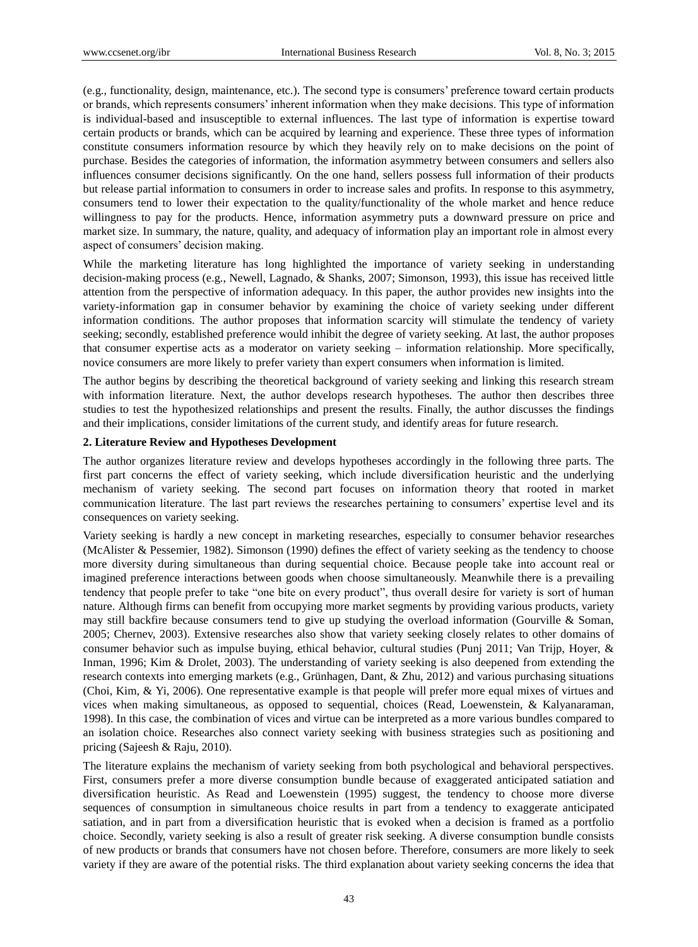(e.g., functionality, design, maintenance, etc.). The second type is consumers' preference toward certain products or brands, which represents consumers' inherent information when they make decisions. This type of information is individual-based and insusceptible to external influences. The last type of information is expertise toward certain products or brands, which can be acquired by learning and experience. These three types of information constitute consumers information resource by which they heavily rely on to make decisions on the point of purchase. Besides the categories of information, the information asymmetry between consumers and sellers also influences consumer decisions significantly. On the one hand, sellers possess full information of their products but release partial information to consumers in order to increase sales and profits. In response to this asymmetry, consumers tend to lower their expectation to the quality/functionality of the whole market and hence reduce willingness to pay for the products. Hence, information asymmetry puts a downward pressure on price and market size. In summary, the nature, quality, and adequacy of information play an important role in almost every aspect of consumers' decision making.

While the marketing literature has long highlighted the importance of variety seeking in understanding decision-making process (e.g., Newell, Lagnado, & Shanks, 2007; Simonson, 1993), this issue has received little attention from the perspective of information adequacy. In this paper, the author provides new insights into the variety-information gap in consumer behavior by examining the choice of variety seeking under different information conditions. The author proposes that information scarcity will stimulate the tendency of variety seeking; secondly, established preference would inhibit the degree of variety seeking. At last, the author proposes that consumer expertise acts as a moderator on variety seeking – information relationship. More specifically, novice consumers are more likely to prefer variety than expert consumers when information is limited.

The author begins by describing the theoretical background of variety seeking and linking this research stream with information literature. Next, the author develops research hypotheses. The author then describes three studies to test the hypothesized relationships and present the results. Finally, the author discusses the findings and their implications, consider limitations of the current study, and identify areas for future research.

## **2. Literature Review and Hypotheses Development**

The author organizes literature review and develops hypotheses accordingly in the following three parts. The first part concerns the effect of variety seeking, which include diversification heuristic and the underlying mechanism of variety seeking. The second part focuses on information theory that rooted in market communication literature. The last part reviews the researches pertaining to consumers' expertise level and its consequences on variety seeking.

Variety seeking is hardly a new concept in marketing researches, especially to consumer behavior researches (McAlister & Pessemier, 1982). Simonson (1990) defines the effect of variety seeking as the tendency to choose more diversity during simultaneous than during sequential choice. Because people take into account real or imagined preference interactions between goods when choose simultaneously. Meanwhile there is a prevailing tendency that people prefer to take "one bite on every product", thus overall desire for variety is sort of human nature. Although firms can benefit from occupying more market segments by providing various products, variety may still backfire because consumers tend to give up studying the overload information (Gourville & Soman, 2005; Chernev, 2003). Extensive researches also show that variety seeking closely relates to other domains of consumer behavior such as impulse buying, ethical behavior, cultural studies (Punj 2011; Van Trijp, Hoyer, & Inman, 1996; Kim & Drolet, 2003). The understanding of variety seeking is also deepened from extending the research contexts into emerging markets (e.g., Grünhagen, Dant, & Zhu, 2012) and various purchasing situations (Choi, Kim, & Yi, 2006). One representative example is that people will prefer more equal mixes of virtues and vices when making simultaneous, as opposed to sequential, choices (Read, Loewenstein, & Kalyanaraman, 1998). In this case, the combination of vices and virtue can be interpreted as a more various bundles compared to an isolation choice. Researches also connect variety seeking with business strategies such as positioning and pricing (Sajeesh & Raju, 2010).

The literature explains the mechanism of variety seeking from both psychological and behavioral perspectives. First, consumers prefer a more diverse consumption bundle because of exaggerated anticipated satiation and diversification heuristic. As Read and Loewenstein (1995) suggest, the tendency to choose more diverse sequences of consumption in simultaneous choice results in part from a tendency to exaggerate anticipated satiation, and in part from a diversification heuristic that is evoked when a decision is framed as a portfolio choice. Secondly, variety seeking is also a result of greater risk seeking. A diverse consumption bundle consists of new products or brands that consumers have not chosen before. Therefore, consumers are more likely to seek variety if they are aware of the potential risks. The third explanation about variety seeking concerns the idea that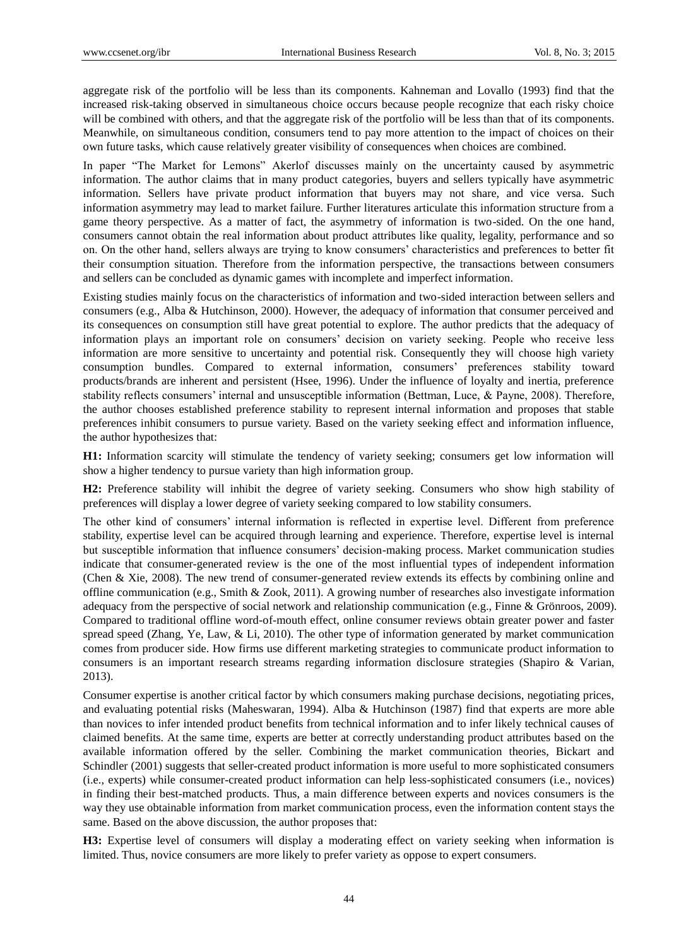aggregate risk of the portfolio will be less than its components. Kahneman and Lovallo (1993) find that the increased risk-taking observed in simultaneous choice occurs because people recognize that each risky choice will be combined with others, and that the aggregate risk of the portfolio will be less than that of its components. Meanwhile, on simultaneous condition, consumers tend to pay more attention to the impact of choices on their own future tasks, which cause relatively greater visibility of consequences when choices are combined.

In paper "The Market for Lemons" Akerlof discusses mainly on the uncertainty caused by asymmetric information. The author claims that in many product categories, buyers and sellers typically have asymmetric information. Sellers have private product information that buyers may not share, and vice versa. Such information asymmetry may lead to market failure. Further literatures articulate this information structure from a game theory perspective. As a matter of fact, the asymmetry of information is two-sided. On the one hand, consumers cannot obtain the real information about product attributes like quality, legality, performance and so on. On the other hand, sellers always are trying to know consumers' characteristics and preferences to better fit their consumption situation. Therefore from the information perspective, the transactions between consumers and sellers can be concluded as dynamic games with incomplete and imperfect information.

Existing studies mainly focus on the characteristics of information and two-sided interaction between sellers and consumers (e.g., Alba & Hutchinson, 2000). However, the adequacy of information that consumer perceived and its consequences on consumption still have great potential to explore. The author predicts that the adequacy of information plays an important role on consumers' decision on variety seeking. People who receive less information are more sensitive to uncertainty and potential risk. Consequently they will choose high variety consumption bundles. Compared to external information, consumers' preferences stability toward products/brands are inherent and persistent (Hsee, 1996). Under the influence of loyalty and inertia, preference stability reflects consumers' internal and unsusceptible information (Bettman, Luce, & Payne, 2008). Therefore, the author chooses established preference stability to represent internal information and proposes that stable preferences inhibit consumers to pursue variety. Based on the variety seeking effect and information influence, the author hypothesizes that:

**H1:** Information scarcity will stimulate the tendency of variety seeking; consumers get low information will show a higher tendency to pursue variety than high information group.

**H2:** Preference stability will inhibit the degree of variety seeking. Consumers who show high stability of preferences will display a lower degree of variety seeking compared to low stability consumers.

The other kind of consumers' internal information is reflected in expertise level. Different from preference stability, expertise level can be acquired through learning and experience. Therefore, expertise level is internal but susceptible information that influence consumers' decision-making process. Market communication studies indicate that consumer-generated review is the one of the most influential types of independent information (Chen & Xie, 2008). The new trend of consumer-generated review extends its effects by combining online and offline communication (e.g., Smith & Zook, 2011). A growing number of researches also investigate information adequacy from the perspective of social network and relationship communication (e.g., Finne & Grönroos, 2009). Compared to traditional offline word-of-mouth effect, online consumer reviews obtain greater power and faster spread speed (Zhang, Ye, Law,  $\&$  Li, 2010). The other type of information generated by market communication comes from producer side. How firms use different marketing strategies to communicate product information to consumers is an important research streams regarding information disclosure strategies (Shapiro & Varian, 2013).

Consumer expertise is another critical factor by which consumers making purchase decisions, negotiating prices, and evaluating potential risks (Maheswaran, 1994). Alba & Hutchinson (1987) find that experts are more able than novices to infer intended product benefits from technical information and to infer likely technical causes of claimed benefits. At the same time, experts are better at correctly understanding product attributes based on the available information offered by the seller. Combining the market communication theories, Bickart and Schindler (2001) suggests that seller-created product information is more useful to more sophisticated consumers (i.e., experts) while consumer-created product information can help less-sophisticated consumers (i.e., novices) in finding their best-matched products. Thus, a main difference between experts and novices consumers is the way they use obtainable information from market communication process, even the information content stays the same. Based on the above discussion, the author proposes that:

**H3:** Expertise level of consumers will display a moderating effect on variety seeking when information is limited. Thus, novice consumers are more likely to prefer variety as oppose to expert consumers.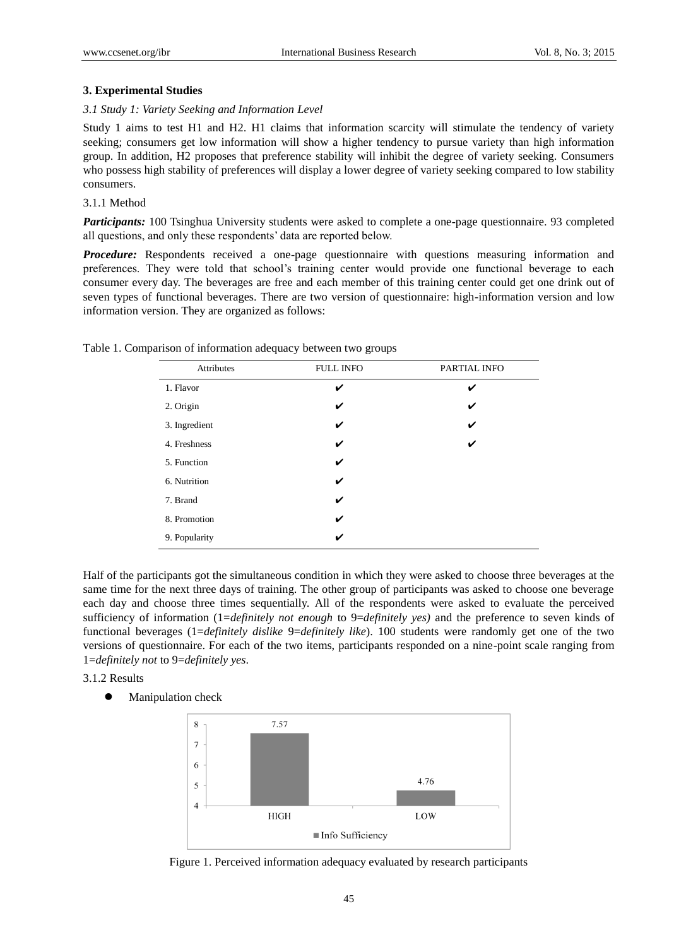## **3. Experimental Studies**

## *3.1 Study 1: Variety Seeking and Information Level*

Study 1 aims to test H1 and H2. H1 claims that information scarcity will stimulate the tendency of variety seeking; consumers get low information will show a higher tendency to pursue variety than high information group. In addition, H2 proposes that preference stability will inhibit the degree of variety seeking. Consumers who possess high stability of preferences will display a lower degree of variety seeking compared to low stability consumers.

## 3.1.1 Method

*Participants:* 100 Tsinghua University students were asked to complete a one-page questionnaire. 93 completed all questions, and only these respondents' data are reported below.

*Procedure:* Respondents received a one-page questionnaire with questions measuring information and preferences. They were told that school's training center would provide one functional beverage to each consumer every day. The beverages are free and each member of this training center could get one drink out of seven types of functional beverages. There are two version of questionnaire: high-information version and low information version. They are organized as follows:

| Attributes    | <b>FULL INFO</b> | PARTIAL INFO |
|---------------|------------------|--------------|
| 1. Flavor     | ✓                | V            |
| 2. Origin     | ✓                | V            |
| 3. Ingredient | ✓                | ✓            |
| 4. Freshness  | V                | ✓            |
| 5. Function   | V                |              |
| 6. Nutrition  | ✓                |              |
| 7. Brand      | V                |              |
| 8. Promotion  | ✓                |              |
| 9. Popularity | ✓                |              |

Table 1. Comparison of information adequacy between two groups

Half of the participants got the simultaneous condition in which they were asked to choose three beverages at the same time for the next three days of training. The other group of participants was asked to choose one beverage each day and choose three times sequentially. All of the respondents were asked to evaluate the perceived sufficiency of information (1=*definitely not enough* to 9=*definitely yes)* and the preference to seven kinds of functional beverages (1=*definitely dislike* 9=*definitely like*). 100 students were randomly get one of the two versions of questionnaire. For each of the two items, participants responded on a nine-point scale ranging from 1=*definitely not* to 9=*definitely yes*.

3.1.2 Results



Manipulation check

Figure 1. Perceived information adequacy evaluated by research participants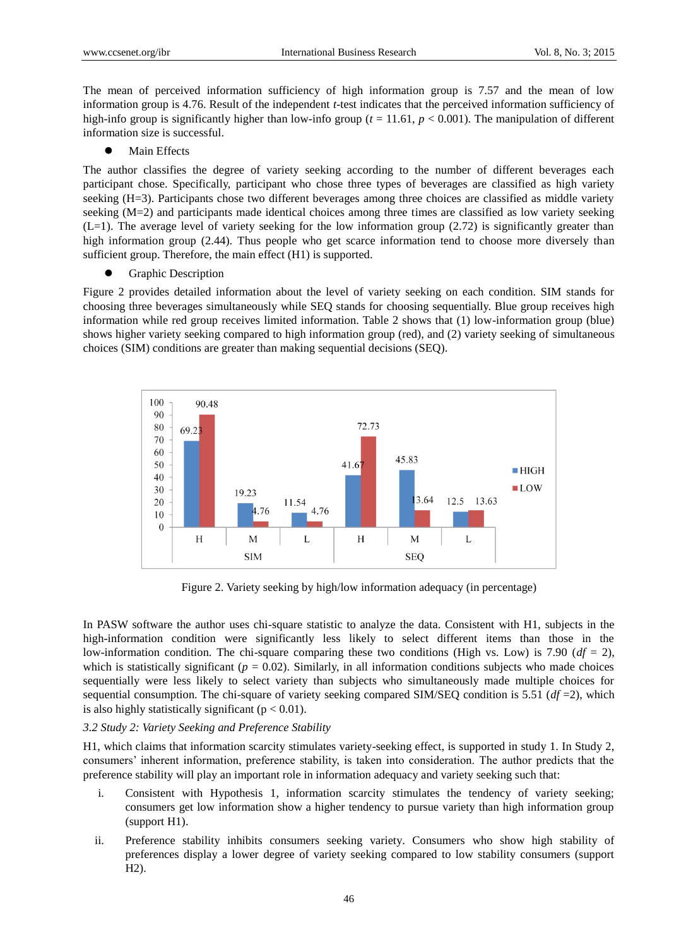The mean of perceived information sufficiency of high information group is 7.57 and the mean of low information group is 4.76. Result of the independent *t*-test indicates that the perceived information sufficiency of high-info group is significantly higher than low-info group  $(t = 11.61, p < 0.001)$ . The manipulation of different information size is successful.

Main Effects

The author classifies the degree of variety seeking according to the number of different beverages each participant chose. Specifically, participant who chose three types of beverages are classified as high variety seeking (H=3). Participants chose two different beverages among three choices are classified as middle variety seeking (M=2) and participants made identical choices among three times are classified as low variety seeking (L=1). The average level of variety seeking for the low information group (2.72) is significantly greater than high information group (2.44). Thus people who get scarce information tend to choose more diversely than sufficient group. Therefore, the main effect (H1) is supported.

Graphic Description

Figure 2 provides detailed information about the level of variety seeking on each condition. SIM stands for choosing three beverages simultaneously while SEQ stands for choosing sequentially. Blue group receives high information while red group receives limited information. Table 2 shows that (1) low-information group (blue) shows higher variety seeking compared to high information group (red), and (2) variety seeking of simultaneous choices (SIM) conditions are greater than making sequential decisions (SEQ).



Figure 2. Variety seeking by high/low information adequacy (in percentage)

In PASW software the author uses chi-square statistic to analyze the data. Consistent with H1, subjects in the high-information condition were significantly less likely to select different items than those in the low-information condition. The chi-square comparing these two conditions (High vs. Low) is 7.90 ( $df = 2$ ), which is statistically significant ( $p = 0.02$ ). Similarly, in all information conditions subjects who made choices sequentially were less likely to select variety than subjects who simultaneously made multiple choices for sequential consumption. The chi-square of variety seeking compared SIM/SEQ condition is 5.51 (*df* =2), which is also highly statistically significant ( $p < 0.01$ ).

### *3.2 Study 2: Variety Seeking and Preference Stability*

H1, which claims that information scarcity stimulates variety-seeking effect, is supported in study 1. In Study 2, consumers' inherent information, preference stability, is taken into consideration. The author predicts that the preference stability will play an important role in information adequacy and variety seeking such that:

- i. Consistent with Hypothesis 1, information scarcity stimulates the tendency of variety seeking; consumers get low information show a higher tendency to pursue variety than high information group (support H1).
- ii. Preference stability inhibits consumers seeking variety. Consumers who show high stability of preferences display a lower degree of variety seeking compared to low stability consumers (support H2).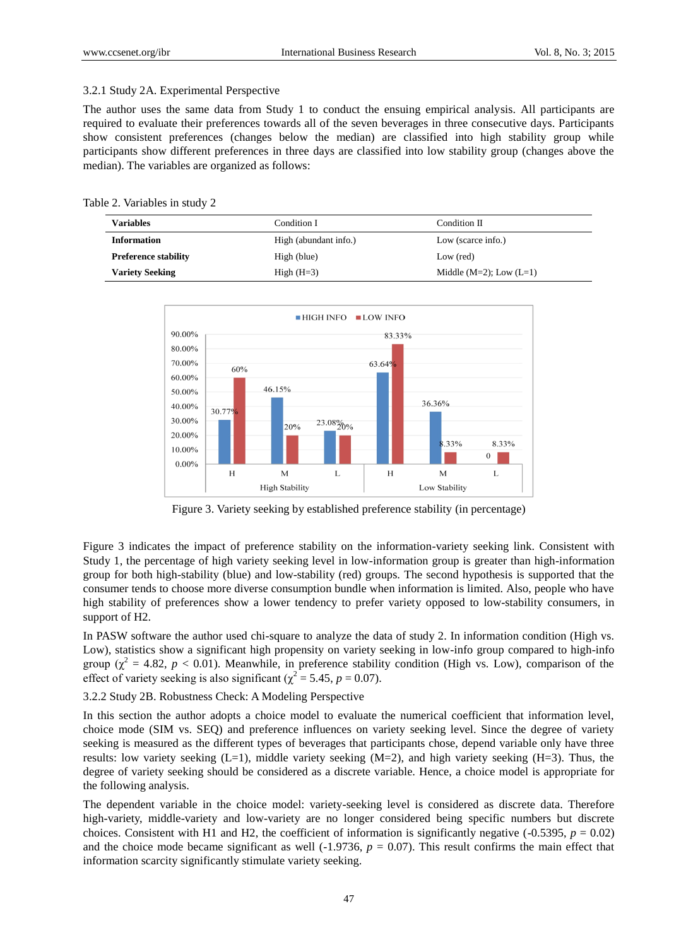#### 3.2.1 Study 2A. Experimental Perspective

The author uses the same data from Study 1 to conduct the ensuing empirical analysis. All participants are required to evaluate their preferences towards all of the seven beverages in three consecutive days. Participants show consistent preferences (changes below the median) are classified into high stability group while participants show different preferences in three days are classified into low stability group (changes above the median). The variables are organized as follows:

#### Table 2. Variables in study 2

| Variables                   | Condition I           | Condition II                    |
|-----------------------------|-----------------------|---------------------------------|
| <b>Information</b>          | High (abundant info.) | Low (scarce info.)              |
| <b>Preference stability</b> | High (blue)           | Low $(\text{red})$              |
| <b>Variety Seeking</b>      | $High (H=3)$          | Middle ( $M=2$ ); Low ( $L=1$ ) |



Figure 3. Variety seeking by established preference stability (in percentage)

Figure 3 indicates the impact of preference stability on the information-variety seeking link. Consistent with Study 1, the percentage of high variety seeking level in low-information group is greater than high-information group for both high-stability (blue) and low-stability (red) groups. The second hypothesis is supported that the consumer tends to choose more diverse consumption bundle when information is limited. Also, people who have high stability of preferences show a lower tendency to prefer variety opposed to low-stability consumers, in support of H2.

In PASW software the author used chi-square to analyze the data of study 2. In information condition (High vs. Low), statistics show a significant high propensity on variety seeking in low-info group compared to high-info group  $(\chi^2 = 4.82, p < 0.01)$ . Meanwhile, in preference stability condition (High vs. Low), comparison of the effect of variety seeking is also significant ( $\chi^2$  = 5.45, *p* = 0.07).

3.2.2 Study 2B. Robustness Check: A Modeling Perspective

In this section the author adopts a choice model to evaluate the numerical coefficient that information level, choice mode (SIM vs. SEQ) and preference influences on variety seeking level. Since the degree of variety seeking is measured as the different types of beverages that participants chose, depend variable only have three results: low variety seeking  $(L=1)$ , middle variety seeking  $(M=2)$ , and high variety seeking  $(H=3)$ . Thus, the degree of variety seeking should be considered as a discrete variable. Hence, a choice model is appropriate for the following analysis.

The dependent variable in the choice model: variety-seeking level is considered as discrete data. Therefore high-variety, middle-variety and low-variety are no longer considered being specific numbers but discrete choices. Consistent with H1 and H2, the coefficient of information is significantly negative  $(-0.5395, p = 0.02)$ and the choice mode became significant as well  $(-1.9736, p = 0.07)$ . This result confirms the main effect that information scarcity significantly stimulate variety seeking.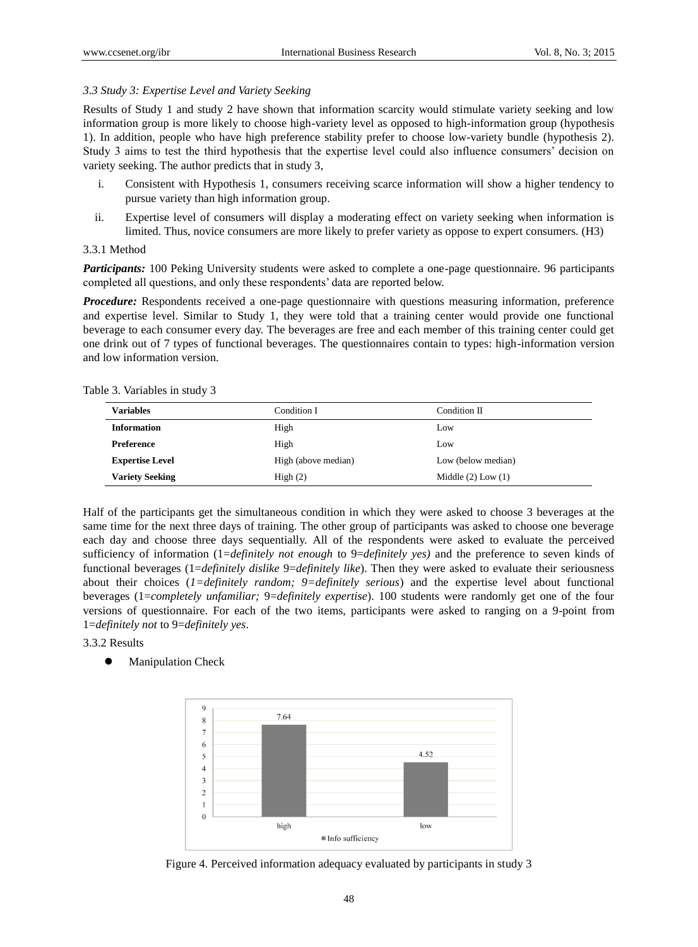# *3.3 Study 3: Expertise Level and Variety Seeking*

Results of Study 1 and study 2 have shown that information scarcity would stimulate variety seeking and low information group is more likely to choose high-variety level as opposed to high-information group (hypothesis 1). In addition, people who have high preference stability prefer to choose low-variety bundle (hypothesis 2). Study 3 aims to test the third hypothesis that the expertise level could also influence consumers' decision on variety seeking. The author predicts that in study 3,

- i. Consistent with Hypothesis 1, consumers receiving scarce information will show a higher tendency to pursue variety than high information group.
- ii. Expertise level of consumers will display a moderating effect on variety seeking when information is limited. Thus, novice consumers are more likely to prefer variety as oppose to expert consumers. (H3)

# 3.3.1 Method

*Participants:* 100 Peking University students were asked to complete a one-page questionnaire. 96 participants completed all questions, and only these respondents' data are reported below.

*Procedure:* Respondents received a one-page questionnaire with questions measuring information, preference and expertise level. Similar to Study 1, they were told that a training center would provide one functional beverage to each consumer every day. The beverages are free and each member of this training center could get one drink out of 7 types of functional beverages. The questionnaires contain to types: high-information version and low information version.

Table 3. Variables in study 3

| <b>Variables</b>       | Condition I         | Condition II           |
|------------------------|---------------------|------------------------|
| <b>Information</b>     | High                | Low                    |
| Preference             | High                | Low                    |
| <b>Expertise Level</b> | High (above median) | Low (below median)     |
| <b>Variety Seeking</b> | High(2)             | Middle $(2)$ Low $(1)$ |

Half of the participants get the simultaneous condition in which they were asked to choose 3 beverages at the same time for the next three days of training. The other group of participants was asked to choose one beverage each day and choose three days sequentially. All of the respondents were asked to evaluate the perceived sufficiency of information (1=*definitely not enough* to 9=*definitely yes)* and the preference to seven kinds of functional beverages (1=*definitely dislike* 9=*definitely like*). Then they were asked to evaluate their seriousness about their choices (*1=definitely random; 9=definitely serious*) and the expertise level about functional beverages (1=*completely unfamiliar;* 9=*definitely expertise*). 100 students were randomly get one of the four versions of questionnaire. For each of the two items, participants were asked to ranging on a 9-point from 1=*definitely not* to 9=*definitely yes*.

3.3.2 Results

• Manipulation Check



Figure 4. Perceived information adequacy evaluated by participants in study 3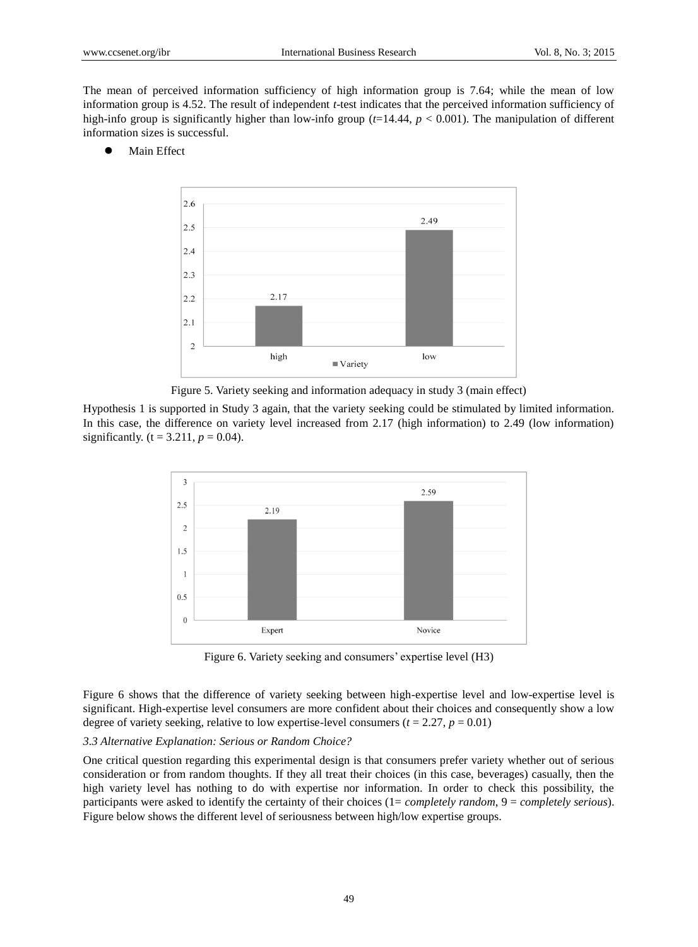The mean of perceived information sufficiency of high information group is 7.64; while the mean of low information group is 4.52. The result of independent *t*-test indicates that the perceived information sufficiency of high-info group is significantly higher than low-info group ( $t=14.44$ ,  $p < 0.001$ ). The manipulation of different information sizes is successful.



Main Effect

Figure 5. Variety seeking and information adequacy in study 3 (main effect)

Hypothesis 1 is supported in Study 3 again, that the variety seeking could be stimulated by limited information. In this case, the difference on variety level increased from 2.17 (high information) to 2.49 (low information) significantly. ( $t = 3.211$ ,  $p = 0.04$ ).



Figure 6. Variety seeking and consumers' expertise level (H3)

Figure 6 shows that the difference of variety seeking between high-expertise level and low-expertise level is significant. High-expertise level consumers are more confident about their choices and consequently show a low degree of variety seeking, relative to low expertise-level consumers ( $t = 2.27$ ,  $p = 0.01$ )

#### *3.3 Alternative Explanation: Serious or Random Choice?*

One critical question regarding this experimental design is that consumers prefer variety whether out of serious consideration or from random thoughts. If they all treat their choices (in this case, beverages) casually, then the high variety level has nothing to do with expertise nor information. In order to check this possibility, the participants were asked to identify the certainty of their choices (1= *completely random*, 9 = *completely serious*). Figure below shows the different level of seriousness between high/low expertise groups.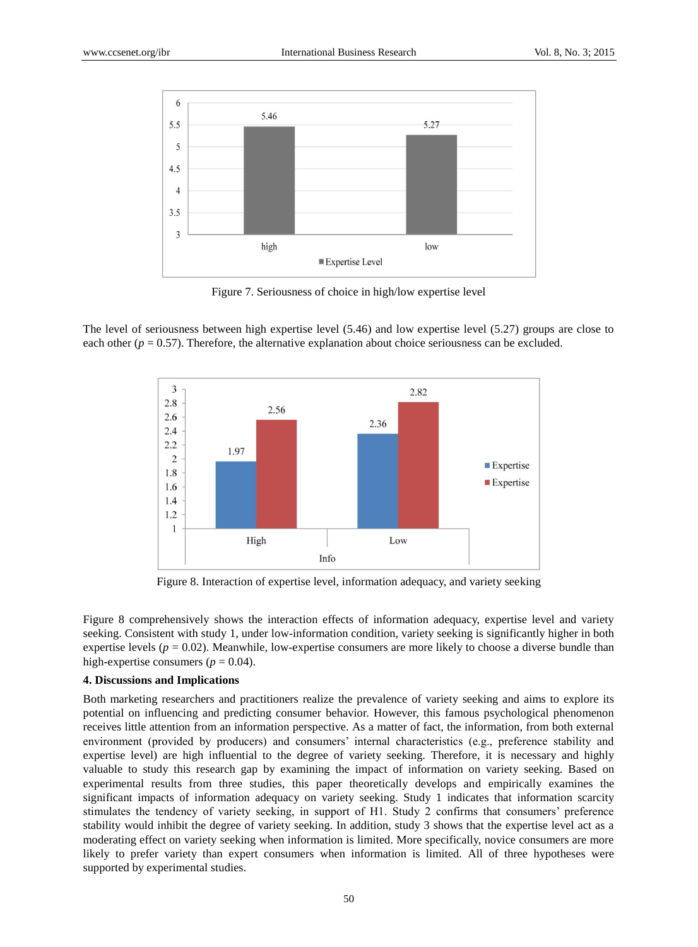

Figure 7. Seriousness of choice in high/low expertise level

The level of seriousness between high expertise level (5.46) and low expertise level (5.27) groups are close to each other  $(p = 0.57)$ . Therefore, the alternative explanation about choice seriousness can be excluded.



Figure 8. Interaction of expertise level, information adequacy, and variety seeking

Figure 8 comprehensively shows the interaction effects of information adequacy, expertise level and variety seeking. Consistent with study 1, under low-information condition, variety seeking is significantly higher in both expertise levels ( $p = 0.02$ ). Meanwhile, low-expertise consumers are more likely to choose a diverse bundle than high-expertise consumers ( $p = 0.04$ ).

#### **4. Discussions and Implications**

Both marketing researchers and practitioners realize the prevalence of variety seeking and aims to explore its potential on influencing and predicting consumer behavior. However, this famous psychological phenomenon receives little attention from an information perspective. As a matter of fact, the information, from both external environment (provided by producers) and consumers' internal characteristics (e.g., preference stability and expertise level) are high influential to the degree of variety seeking. Therefore, it is necessary and highly valuable to study this research gap by examining the impact of information on variety seeking. Based on experimental results from three studies, this paper theoretically develops and empirically examines the significant impacts of information adequacy on variety seeking. Study 1 indicates that information scarcity stimulates the tendency of variety seeking, in support of H1. Study 2 confirms that consumers' preference stability would inhibit the degree of variety seeking. In addition, study 3 shows that the expertise level act as a moderating effect on variety seeking when information is limited. More specifically, novice consumers are more likely to prefer variety than expert consumers when information is limited. All of three hypotheses were supported by experimental studies.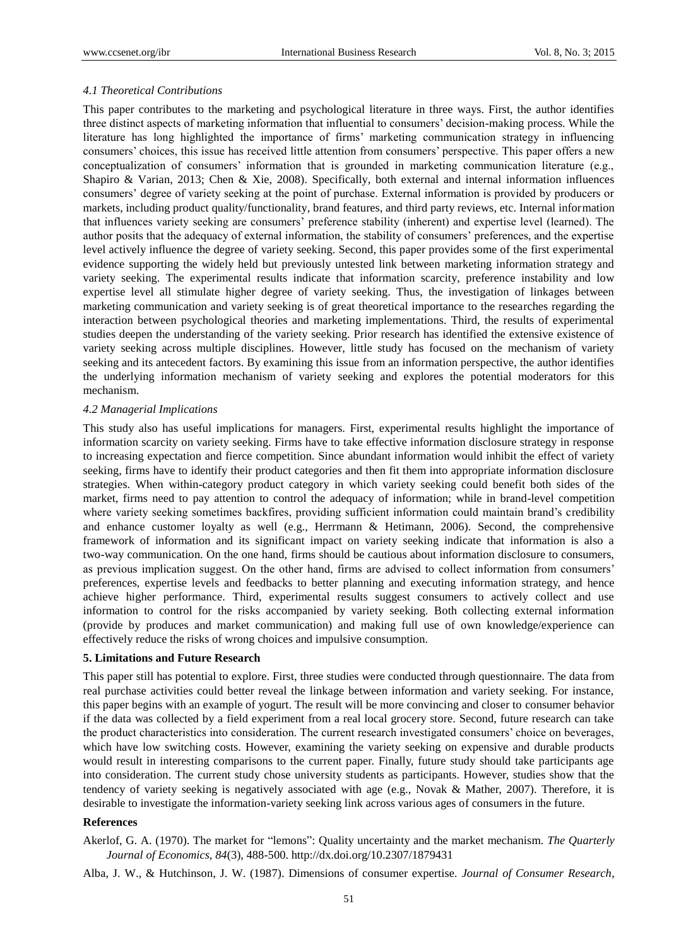## *4.1 Theoretical Contributions*

This paper contributes to the marketing and psychological literature in three ways. First, the author identifies three distinct aspects of marketing information that influential to consumers' decision-making process. While the literature has long highlighted the importance of firms' marketing communication strategy in influencing consumers' choices, this issue has received little attention from consumers' perspective. This paper offers a new conceptualization of consumers' information that is grounded in marketing communication literature (e.g., Shapiro & Varian, 2013; Chen & Xie, 2008). Specifically, both external and internal information influences consumers' degree of variety seeking at the point of purchase. External information is provided by producers or markets, including product quality/functionality, brand features, and third party reviews, etc. Internal information that influences variety seeking are consumers' preference stability (inherent) and expertise level (learned). The author posits that the adequacy of external information, the stability of consumers' preferences, and the expertise level actively influence the degree of variety seeking. Second, this paper provides some of the first experimental evidence supporting the widely held but previously untested link between marketing information strategy and variety seeking. The experimental results indicate that information scarcity, preference instability and low expertise level all stimulate higher degree of variety seeking. Thus, the investigation of linkages between marketing communication and variety seeking is of great theoretical importance to the researches regarding the interaction between psychological theories and marketing implementations. Third, the results of experimental studies deepen the understanding of the variety seeking. Prior research has identified the extensive existence of variety seeking across multiple disciplines. However, little study has focused on the mechanism of variety seeking and its antecedent factors. By examining this issue from an information perspective, the author identifies the underlying information mechanism of variety seeking and explores the potential moderators for this mechanism.

### *4.2 Managerial Implications*

This study also has useful implications for managers. First, experimental results highlight the importance of information scarcity on variety seeking. Firms have to take effective information disclosure strategy in response to increasing expectation and fierce competition. Since abundant information would inhibit the effect of variety seeking, firms have to identify their product categories and then fit them into appropriate information disclosure strategies. When within-category product category in which variety seeking could benefit both sides of the market, firms need to pay attention to control the adequacy of information; while in brand-level competition where variety seeking sometimes backfires, providing sufficient information could maintain brand's credibility and enhance customer loyalty as well (e.g., Herrmann & Hetimann, 2006). Second, the comprehensive framework of information and its significant impact on variety seeking indicate that information is also a two-way communication. On the one hand, firms should be cautious about information disclosure to consumers, as previous implication suggest. On the other hand, firms are advised to collect information from consumers' preferences, expertise levels and feedbacks to better planning and executing information strategy, and hence achieve higher performance. Third, experimental results suggest consumers to actively collect and use information to control for the risks accompanied by variety seeking. Both collecting external information (provide by produces and market communication) and making full use of own knowledge/experience can effectively reduce the risks of wrong choices and impulsive consumption.

#### **5. Limitations and Future Research**

This paper still has potential to explore. First, three studies were conducted through questionnaire. The data from real purchase activities could better reveal the linkage between information and variety seeking. For instance, this paper begins with an example of yogurt. The result will be more convincing and closer to consumer behavior if the data was collected by a field experiment from a real local grocery store. Second, future research can take the product characteristics into consideration. The current research investigated consumers' choice on beverages, which have low switching costs. However, examining the variety seeking on expensive and durable products would result in interesting comparisons to the current paper. Finally, future study should take participants age into consideration. The current study chose university students as participants. However, studies show that the tendency of variety seeking is negatively associated with age (e.g., Novak & Mather, 2007). Therefore, it is desirable to investigate the information-variety seeking link across various ages of consumers in the future.

#### **References**

Akerlof, G. A. (1970). The market for "lemons": Quality uncertainty and the market mechanism. *The Quarterly Journal of Economics, 84*(3), 488-500. http://dx.doi.org/10.2307/1879431

Alba, J. W., & Hutchinson, J. W. (1987). Dimensions of consumer expertise. *Journal of Consumer Research*,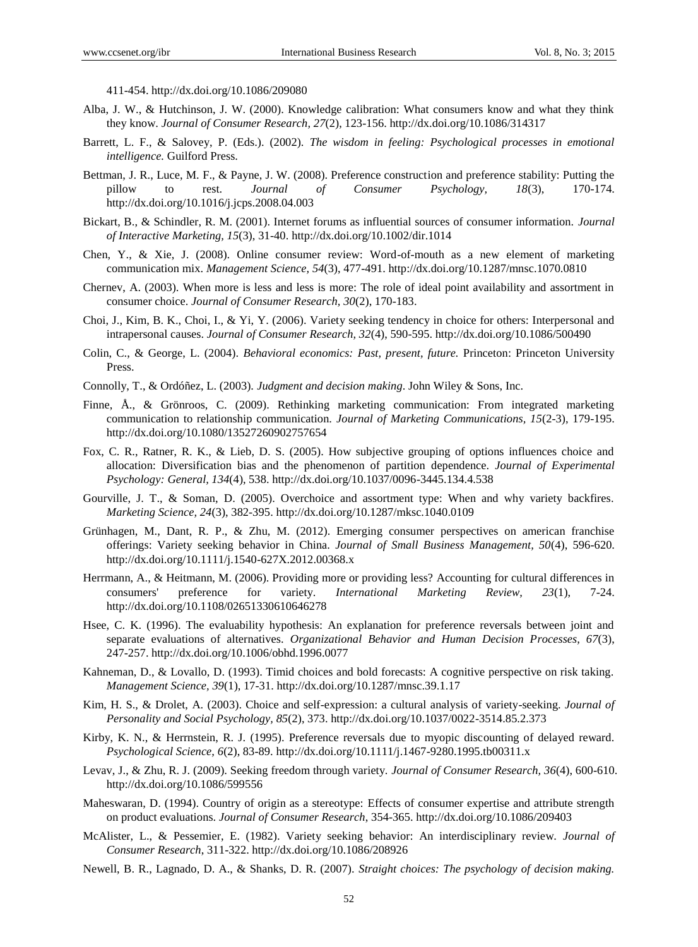411-454. http://dx.doi.org/10.1086/209080

- Alba, J. W., & Hutchinson, J. W. (2000). Knowledge calibration: What consumers know and what they think they know. *Journal of Consumer Research, 27*(2), 123-156. http://dx.doi.org/10.1086/314317
- Barrett, L. F., & Salovey, P. (Eds.). (2002). *The wisdom in feeling: Psychological processes in emotional intelligence.* Guilford Press.
- Bettman, J. R., Luce, M. F., & Payne, J. W. (2008). Preference construction and preference stability: Putting the pillow to rest. *Journal of Consumer Psychology, 18*(3), 170-174. http://dx.doi.org/10.1016/j.jcps.2008.04.003
- Bickart, B., & Schindler, R. M. (2001). Internet forums as influential sources of consumer information. *Journal of Interactive Marketing, 15*(3), 31-40. http://dx.doi.org/10.1002/dir.1014
- Chen, Y., & Xie, J. (2008). Online consumer review: Word-of-mouth as a new element of marketing communication mix. *Management Science, 54*(3), 477-491. http://dx.doi.org/10.1287/mnsc.1070.0810
- Chernev, A. (2003). When more is less and less is more: The role of ideal point availability and assortment in consumer choice. *Journal of Consumer Research, 30*(2), 170-183.
- Choi, J., Kim, B. K., Choi, I., & Yi, Y. (2006). Variety seeking tendency in choice for others: Interpersonal and intrapersonal causes. *Journal of Consumer Research, 32*(4), 590-595. http://dx.doi.org/10.1086/500490
- Colin, C., & George, L. (2004). *Behavioral economics: Past, present, future.* Princeton: Princeton University Press.
- Connolly, T., & Ordóñez, L. (2003). *Judgment and decision making*. John Wiley & Sons, Inc.
- Finne, Å., & Grönroos, C. (2009). Rethinking marketing communication: From integrated marketing communication to relationship communication. *Journal of Marketing Communications, 15*(2-3), 179-195. http://dx.doi.org/10.1080/13527260902757654
- Fox, C. R., Ratner, R. K., & Lieb, D. S. (2005). How subjective grouping of options influences choice and allocation: Diversification bias and the phenomenon of partition dependence. *Journal of Experimental Psychology: General, 134*(4), 538. http://dx.doi.org/10.1037/0096-3445.134.4.538
- Gourville, J. T., & Soman, D. (2005). Overchoice and assortment type: When and why variety backfires. *Marketing Science, 24*(3), 382-395. http://dx.doi.org/10.1287/mksc.1040.0109
- Grünhagen, M., Dant, R. P., & Zhu, M. (2012). Emerging consumer perspectives on american franchise offerings: Variety seeking behavior in China. *Journal of Small Business Management, 50*(4), 596-620. http://dx.doi.org/10.1111/j.1540-627X.2012.00368.x
- Herrmann, A., & Heitmann, M. (2006). Providing more or providing less? Accounting for cultural differences in consumers' preference for variety. *International Marketing Review, 23*(1), 7-24. http://dx.doi.org/10.1108/02651330610646278
- Hsee, C. K. (1996). The evaluability hypothesis: An explanation for preference reversals between joint and separate evaluations of alternatives. *Organizational Behavior and Human Decision Processes, 67*(3), 247-257. http://dx.doi.org/10.1006/obhd.1996.0077
- Kahneman, D., & Lovallo, D. (1993). Timid choices and bold forecasts: A cognitive perspective on risk taking. *Management Science, 39*(1), 17-31. http://dx.doi.org/10.1287/mnsc.39.1.17
- Kim, H. S., & Drolet, A. (2003). Choice and self-expression: a cultural analysis of variety-seeking. *Journal of Personality and Social Psychology, 85*(2), 373. http://dx.doi.org/10.1037/0022-3514.85.2.373
- Kirby, K. N., & Herrnstein, R. J. (1995). Preference reversals due to myopic discounting of delayed reward. *Psychological Science, 6*(2), 83-89. http://dx.doi.org/10.1111/j.1467-9280.1995.tb00311.x
- Levav, J., & Zhu, R. J. (2009). Seeking freedom through variety. *Journal of Consumer Research, 36*(4), 600-610. http://dx.doi.org/10.1086/599556
- Maheswaran, D. (1994). Country of origin as a stereotype: Effects of consumer expertise and attribute strength on product evaluations. *Journal of Consumer Research*, 354-365. http://dx.doi.org/10.1086/209403
- McAlister, L., & Pessemier, E. (1982). Variety seeking behavior: An interdisciplinary review. *Journal of Consumer Research*, 311-322. http://dx.doi.org/10.1086/208926
- Newell, B. R., Lagnado, D. A., & Shanks, D. R. (2007). *Straight choices: The psychology of decision making.*